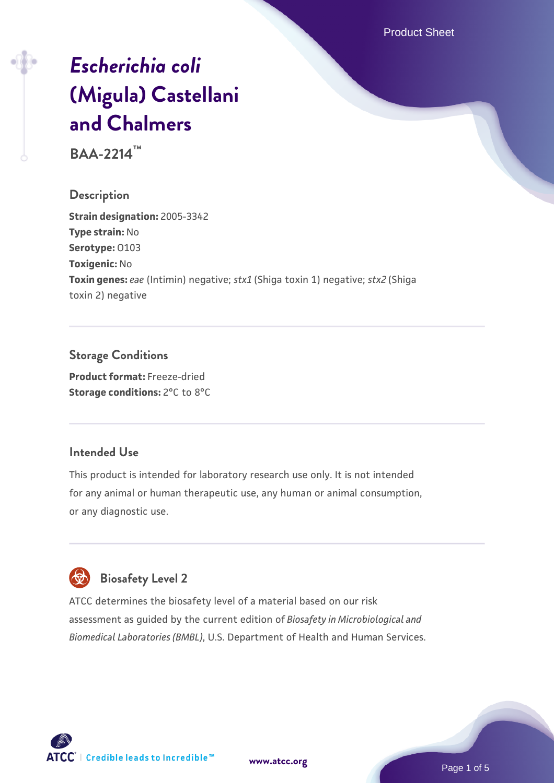Product Sheet

# *[Escherichia coli](https://www.atcc.org/products/baa-2214)* **[\(Migula\) Castellani](https://www.atcc.org/products/baa-2214) [and Chalmers](https://www.atcc.org/products/baa-2214)**

**BAA-2214™**

#### **Description**

**Strain designation:** 2005-3342 **Type strain:** No **Serotype:** O103 **Toxigenic:** No **Toxin genes:** *eae* (Intimin) negative; *stx1* (Shiga toxin 1) negative; *stx2* (Shiga toxin 2) negative

# **Storage Conditions**

**Product format:** Freeze-dried **Storage conditions:** 2°C to 8°C

#### **Intended Use**

This product is intended for laboratory research use only. It is not intended for any animal or human therapeutic use, any human or animal consumption, or any diagnostic use.

# **Biosafety Level 2**

ATCC determines the biosafety level of a material based on our risk assessment as guided by the current edition of *Biosafety in Microbiological and Biomedical Laboratories (BMBL)*, U.S. Department of Health and Human Services.

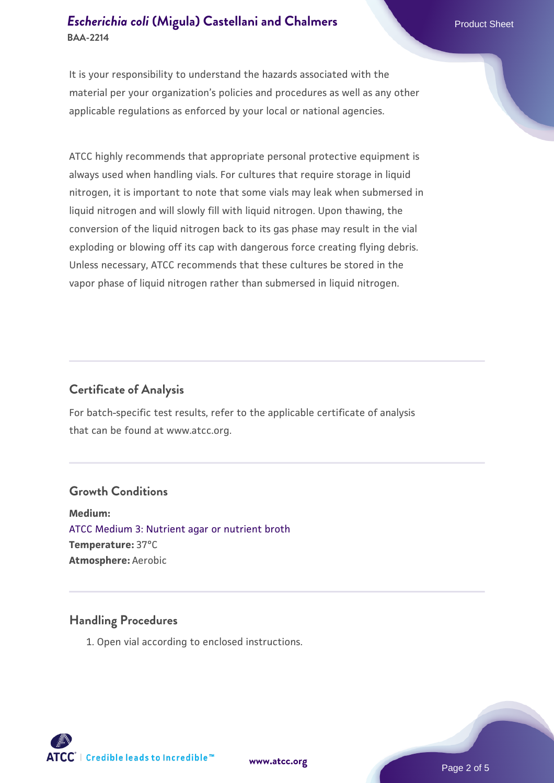# **[Escherichia coli](https://www.atcc.org/products/baa-2214) [\(Migula\) Castellani and Chalmers](https://www.atcc.org/products/baa-2214)** Product Sheet **BAA-2214**

It is your responsibility to understand the hazards associated with the material per your organization's policies and procedures as well as any other applicable regulations as enforced by your local or national agencies.

ATCC highly recommends that appropriate personal protective equipment is always used when handling vials. For cultures that require storage in liquid nitrogen, it is important to note that some vials may leak when submersed in liquid nitrogen and will slowly fill with liquid nitrogen. Upon thawing, the conversion of the liquid nitrogen back to its gas phase may result in the vial exploding or blowing off its cap with dangerous force creating flying debris. Unless necessary, ATCC recommends that these cultures be stored in the vapor phase of liquid nitrogen rather than submersed in liquid nitrogen.

# **Certificate of Analysis**

For batch-specific test results, refer to the applicable certificate of analysis that can be found at www.atcc.org.

#### **Growth Conditions**

**Medium:**  [ATCC Medium 3: Nutrient agar or nutrient broth](https://www.atcc.org/-/media/product-assets/documents/microbial-media-formulations/3/atcc-medium-3.pdf?rev=7510837507e64d849c62a46b5b2197a1) **Temperature:** 37°C **Atmosphere:** Aerobic

#### **Handling Procedures**

1. Open vial according to enclosed instructions.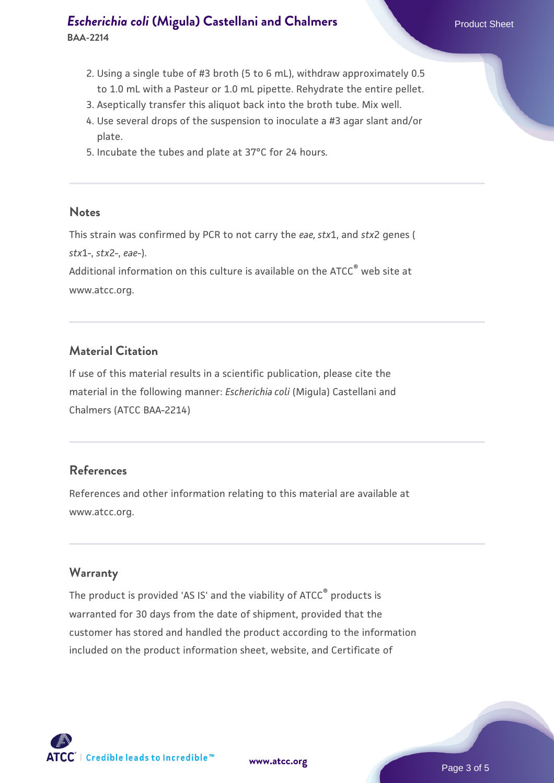- 2. Using a single tube of #3 broth (5 to 6 mL), withdraw approximately 0.5 to 1.0 mL with a Pasteur or 1.0 mL pipette. Rehydrate the entire pellet.
- 3. Aseptically transfer this aliquot back into the broth tube. Mix well.
- 4. Use several drops of the suspension to inoculate a #3 agar slant and/or plate.
- 5. Incubate the tubes and plate at 37°C for 24 hours.

#### **Notes**

This strain was confirmed by PCR to not carry the *eae, stx*1, and *stx*2 genes ( *stx*1-, *stx*2-, *eae*-).

Additional information on this culture is available on the ATCC<sup>®</sup> web site at www.atcc.org.

# **Material Citation**

If use of this material results in a scientific publication, please cite the material in the following manner: *Escherichia coli* (Migula) Castellani and Chalmers (ATCC BAA-2214)

#### **References**

References and other information relating to this material are available at www.atcc.org.

#### **Warranty**

The product is provided 'AS IS' and the viability of ATCC® products is warranted for 30 days from the date of shipment, provided that the customer has stored and handled the product according to the information included on the product information sheet, website, and Certificate of

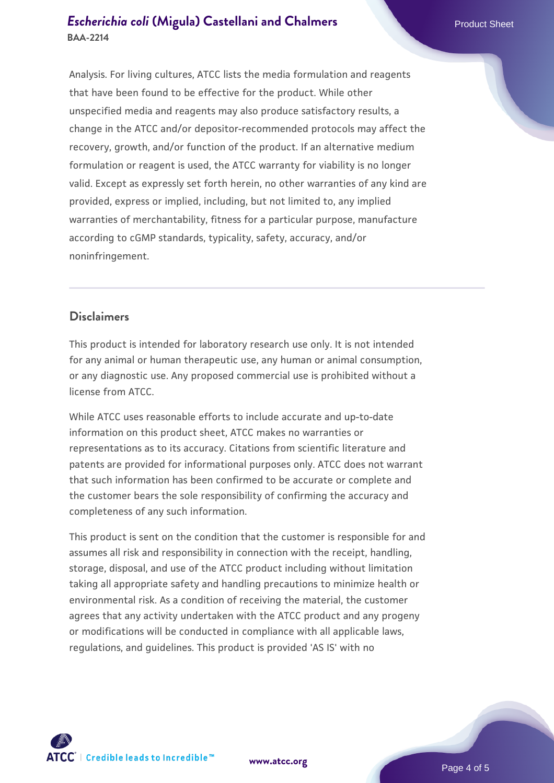## **[Escherichia coli](https://www.atcc.org/products/baa-2214) [\(Migula\) Castellani and Chalmers](https://www.atcc.org/products/baa-2214)** Product Sheet **BAA-2214**

Analysis. For living cultures, ATCC lists the media formulation and reagents that have been found to be effective for the product. While other unspecified media and reagents may also produce satisfactory results, a change in the ATCC and/or depositor-recommended protocols may affect the recovery, growth, and/or function of the product. If an alternative medium formulation or reagent is used, the ATCC warranty for viability is no longer valid. Except as expressly set forth herein, no other warranties of any kind are provided, express or implied, including, but not limited to, any implied warranties of merchantability, fitness for a particular purpose, manufacture according to cGMP standards, typicality, safety, accuracy, and/or noninfringement.

## **Disclaimers**

This product is intended for laboratory research use only. It is not intended for any animal or human therapeutic use, any human or animal consumption, or any diagnostic use. Any proposed commercial use is prohibited without a license from ATCC.

While ATCC uses reasonable efforts to include accurate and up-to-date information on this product sheet, ATCC makes no warranties or representations as to its accuracy. Citations from scientific literature and patents are provided for informational purposes only. ATCC does not warrant that such information has been confirmed to be accurate or complete and the customer bears the sole responsibility of confirming the accuracy and completeness of any such information.

This product is sent on the condition that the customer is responsible for and assumes all risk and responsibility in connection with the receipt, handling, storage, disposal, and use of the ATCC product including without limitation taking all appropriate safety and handling precautions to minimize health or environmental risk. As a condition of receiving the material, the customer agrees that any activity undertaken with the ATCC product and any progeny or modifications will be conducted in compliance with all applicable laws, regulations, and guidelines. This product is provided 'AS IS' with no



**[www.atcc.org](http://www.atcc.org)**

Page 4 of 5